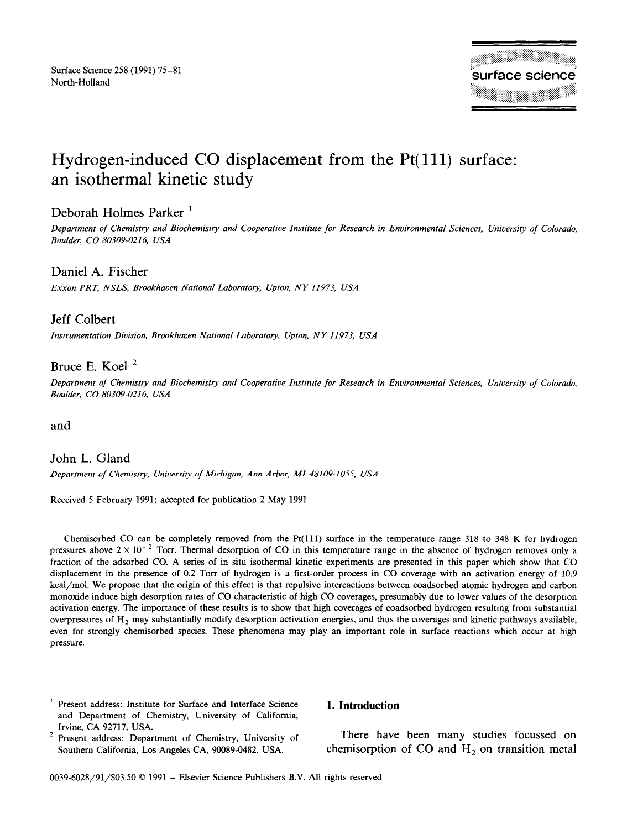# Hydrogen-induced CO displacement from the Pt(111) surface: an isothermal kinetic study

# Deborah Holmes Parker '

*Department of Chemistry and Biochemisity and Cooperative Institute for Research in Environmental Sciences, University of Colorado, Boulder, CO 80309-0216, USA* 

# Daniel A. Fischer

*Exxon PRT, NSLS, Brookhaven National Laboratory, Upton, NY 11973, USA* 

# Jeff Colbert

*Instrumentation Division, Brookhaven National Laboratory, Upton, NY 11973, USA* 

# Bruce E. Koel<sup>2</sup>

*Department of Chemistry and Biochemistry and Cooperative Institute for Research in Environmental Sciences, University of Colorado, Boulder, CO 80309-0216, USA* 

and

## John L. Gland

*Department of Chemistry, University of Michigan, Ann Arbor, MI 48109-1055, USA* 

Received 5 February 1991; accepted for publication 2 May 1991

Chemisorbed CO can be completely removed from the Pt(ll1) surface in the temperature range 318 to 348 K for hydrogen pressures above  $2 \times 10^{-2}$  Torr. Thermal desorption of CO in this temperature range in the absence of hydrogen removes only a fraction of the adsorbed CO. A series of in situ isothermal kinetic experiments are presented in this paper which show that CO displacement in the presence of 0.2 Torr of hydrogen is a first-order process in CO coverage with an activation energy of 10.9 kcal/mol. We propose that the origin of this effect is that repulsive intereactions between coadsorbed atomic hydrogen and carbon monoxide induce high desorption rates of CO characteristic of high CO coverages, presumably due to lower values of the desorption activation energy. The importance of these results is to show that high coverages of coadsorbed hydrogen resulting from substantial overpressures of  $H_2$  may substantially modify desorption activation energies, and thus the coverages and kinetic pathways available, even for strongly chemisorbed species. These phenomena may play an important role in surface reactions which occur at high pressure.

<sup>1</sup> Present address: Institute for Surface and Interface Science and Department of Chemistry, University of California, Irvine, CA 92717, USA.

### Present address: Department of Chemistry, University of Southern California, Los Angeles CA, 90089-0482, USA.

#### **1. Introduction**

There have been many studies focused on chemisorption of CO and  $H_2$  on transition metal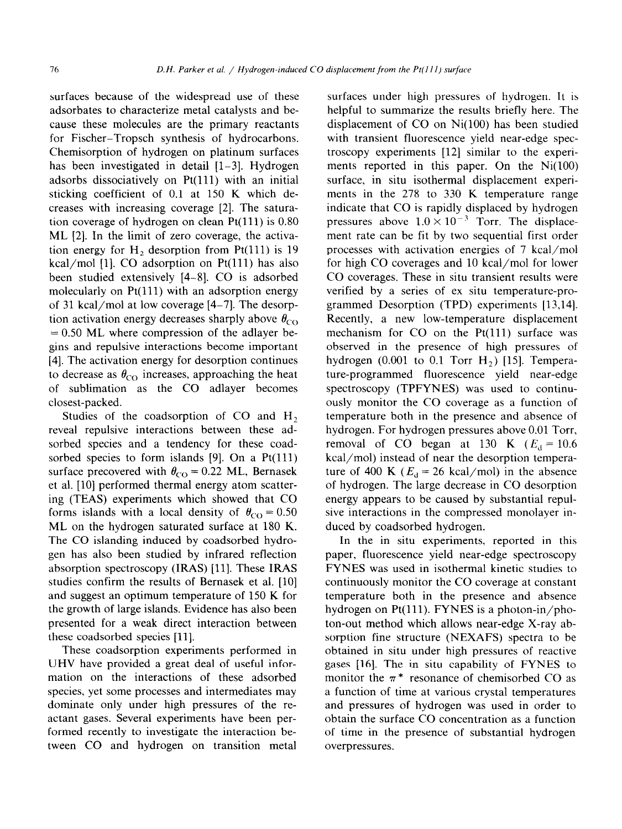surfaces because of the widespread use of these adsorbates to characterize metal catalysts and because these molecules are the primary reactants for Fischer-Tropsch synthesis of hydrocarbons. Chemisorption of hydrogen on platinum surfaces has been investigated in detail  $[1-3]$ . Hydrogen adsorbs dissociatively on Pt(l11) with an initial sticking coefficient of 0.1 at 150 K which decreases with increasing coverage [2]. The saturation coverage of hydrogen on clean  $Pt(111)$  is 0.80 ML [2]. In the limit of zero coverage, the activation energy for  $H_2$  desorption from Pt(111) is 19 kcal/mol [1]. CO adsorption on  $Pt(111)$  has also been studied extensively [4-81. CO is adsorbed molecularly on  $Pt(111)$  with an adsorption energy of 31 kcal/mol at low coverage [4-71. The desorption activation energy decreases sharply above  $\theta_{\rm CO}$  $= 0.50$  ML where compression of the adlayer begins and repulsive interactions become important [4]. The activation energy for desorption continues to decrease as  $\theta_{\rm CO}$  increases, approaching the heat of sublimation as the CO adlayer becomes closest-packed.

Studies of the coadsorption of CO and  $H_2$ reveal repulsive interactions between these adsorbed species and a tendency for these coadsorbed species to form islands [9]. On a  $Pt(111)$ surface precovered with  $\theta_{\rm CO} = 0.22$  ML, Bernasek et al. [10] performed thermal energy atom scattering (TEAS) experiments which showed that CO forms islands with a local density of  $\theta_{\rm CO} = 0.50$ ML on the hydrogen saturated surface at 180 K. The CO islanding induced by coadsorbed hydrogen has also been studied by infrared reflection absorption spectroscopy (IRAS) [ll]. These IRAS studies confirm the results of Bernasek et al. [10] and suggest an optimum temperature of 150 K for the growth of large islands. Evidence has also been presented for a weak direct interaction between these coadsorbed species [ll].

These coadsorption experiments performed in UHV have provided a great deal of useful information on the interactions of these adsorbed species, yet some processes and intermediates may dominate only under high pressures of the reactant gases. Several experiments have been performed recently to investigate the interaction between CO and hydrogen on transition metal

surfaces under high pressures of hydrogen. It is helpful to summarize the results briefly here. The displacement of CO on Ni(100) has been studied with transient fluorescence yield near-edge spectroscopy experiments [12] similar to the experiments reported in this paper. On the  $Ni(100)$ surface, in situ isothermal displacement experiments in the 278 to 330 K temperature range indicate that CO is rapidly displaced by hydrogen pressures above  $1.0 \times 10^{-3}$  Torr. The displacement rate can be fit by two sequential first order processes with activation energies of 7 kcal/mol for high CO coverages and 10 kcal/mol for lower CO coverages. These in situ transient results were verified by a series of ex situ temperature-programmed Desorption (TPD) experiments [13,14]. Recently, a new low-temperature displacement mechanism for  $CO$  on the  $Pt(111)$  surface was observed in the presence of high pressures of hydrogen (0.001 to 0.1 Torr  $H_2$ ) [15]. Temperature-programmed fluorescence yield near-edge spectroscopy (TPFYNES) was used to continuously monitor the CO coverage as a function of temperature both in the presence and absence of hydrogen. For hydrogen pressures above 0.01 Torr, removal of CO began at 130 K ( $E_d = 10.6$ ) kcal/mol) instead of near the desorption temperature of 400 K ( $E_d = 26$  kcal/mol) in the absence of hydrogen. The large decrease in CO desorption energy appears to be caused by substantial repulsive interactions in the compressed monolayer induced by coadsorbed hydrogen.

In the in situ experiments, reported in this paper, fluorescence yield near-edge spectroscopy FYNES was used in isothermal kinetic studies to continuously monitor the CO coverage at constant temperature both in the presence and absence hydrogen on Pt $(111)$ . FYNES is a photon-in/photon-out method which allows near-edge X-ray absorption fine structure (NEXAFS) spectra to be obtained in situ under high pressures of reactive gases [16]. The in situ capability of FYNES to monitor the  $\pi^*$  resonance of chemisorbed CO as a function of time at various crystal temperatures and pressures of hydrogen was used in order to obtain the surface CO concentration as a function of time in the presence of substantial hydrogen overpressures.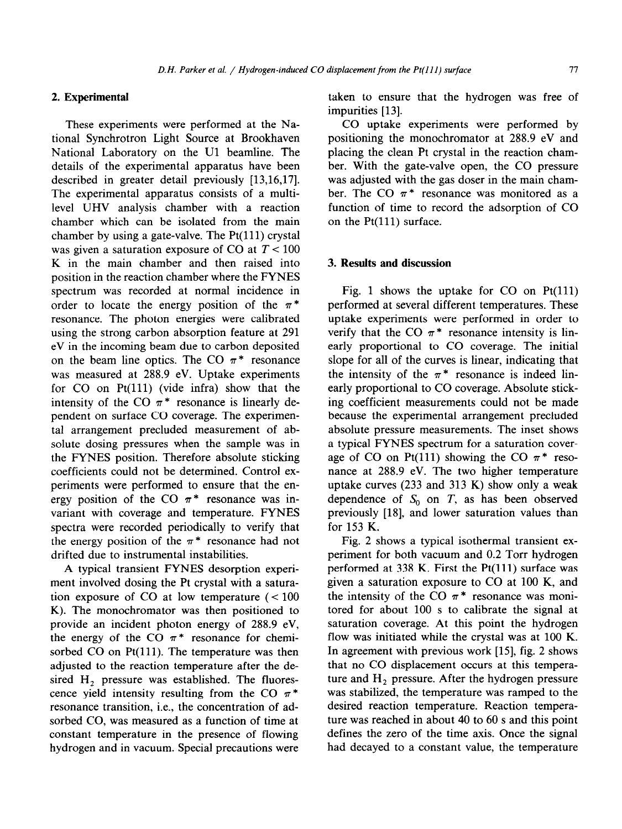## **2. Experimental**

These experiments were performed at the National Synchrotron Light Source at Brookhaven National Laboratory on the Ul beamline. The details of the experimental apparatus have been described in greater detail previously [13,16,17]. The experimental apparatus consists of a multilevel UHV analysis chamber with a reaction chamber which can be isolated from the main chamber by using a gate-valve. The  $Pt(111)$  crystal was given a saturation exposure of CO at  $T < 100$ K in the main chamber and then raised into position in the reaction chamber where the FYNES spectrum was recorded at normal incidence in order to locate the energy position of the  $\pi^*$ resonance. The photon energies were calibrated using the strong carbon absorption feature at 291 eV in the incoming beam due to carbon deposited on the beam line optics. The CO  $\pi^*$  resonance was measured at 288.9 eV. Uptake experiments for CO on Pt(111) (vide infra) show that the intensity of the CO  $\pi^*$  resonance is linearly dependent on surface CO coverage. The experimental arrangement precluded measurement of absolute dosing pressures when the sample was in the FYNES position. Therefore absolute sticking coefficients could not be determined. Control experiments were performed to ensure that the energy position of the CO  $\pi^*$  resonance was invariant with coverage and temperature. FYNES spectra were recorded periodically to verify that the energy position of the  $\pi^*$  resonance had not drifted due to instrumental instabilities.

A typical transient FYNES desorption experiment involved dosing the Pt crystal with a saturation exposure of CO at low temperature  $(< 100$ K). The monochromator was then positioned to provide an incident photon energy of 288.9 eV, the energy of the CO  $\pi^*$  resonance for chemisorbed  $CO$  on  $Pt(111)$ . The temperature was then adjusted to the reaction temperature after the desired  $H_2$  pressure was established. The fluorescence yield intensity resulting from the CO  $\pi$ <sup>\*</sup> resonance transition, i.e., the concentration of adsorbed CO, was measured as a function of time at constant temperature in the presence of flowing hydrogen and in vacuum. Special precautions were taken to ensure that the hydrogen was free of impurities [13].

CO uptake experiments were performed by positioning the monochromator at 288.9 eV and placing the clean Pt crystal in the reaction chamber. With the gate-valve open, the CO pressure was adjusted with the gas doser in the main chamber. The CO  $\pi$ <sup>\*</sup> resonance was monitored as a function of time to record the adsorption of CO on the Pt(111) surface.

#### 3. **Results and discussion**

Fig. 1 shows the uptake for  $CO$  on  $Pt(111)$ performed at several different temperatures. These uptake experiments were performed in order to verify that the CO  $\pi^*$  resonance intensity is linearly proportional to CO coverage. The initial slope for all of the curves is linear, indicating that the intensity of the  $\pi$ <sup>\*</sup> resonance is indeed linearly proportional to CO coverage. Absolute sticking coefficient measurements could not be made because the experimental arrangement precluded absolute pressure measurements. The inset shows a typical FYNES spectrum for a saturation coverage of CO on Pt(111) showing the CO  $\pi$ <sup>\*</sup> resonance at 288.9 eV. The two higher temperature uptake curves (233 and 313 K) show only a weak dependence of  $S_0$  on  $T$ , as has been observed previously [18], and lower saturation values than for 153 K.

Fig. 2 shows a typical isothermal transient experiment for both vacuum and 0.2 Torr hydrogen performed at  $338$  K. First the Pt(111) surface was given a saturation exposure to CO at 100 K, and the intensity of the CO  $\pi$ <sup>\*</sup> resonance was monitored for about 100 s to calibrate the signal at saturation coverage. At this point the hydrogen flow was initiated while the crystal was at 100 K. In agreement with previous work [15], fig. 2 shows that no CO displacement occurs at this temperature and  $H_2$  pressure. After the hydrogen pressure was stabilized, the temperature was ramped to the desired reaction temperature. Reaction temperature was reached in about 40 to 60 s and this point defines the zero of the time axis. Once the signal had decayed to a constant value, the temperature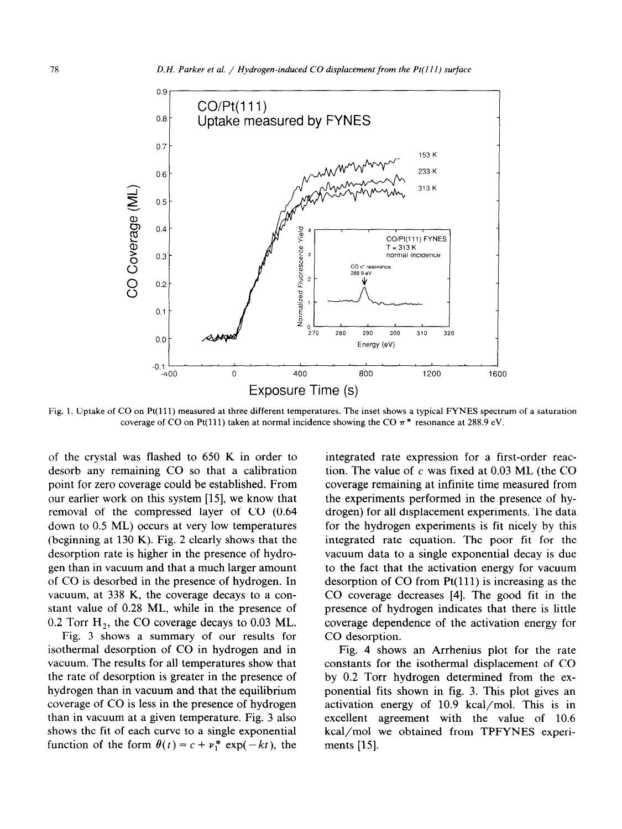

Fig. 1. Uptake of CO on Pt(ll1) measured at three different temperatures. The inset shows a typical FYNES spectrum of a saturation coverage of CO on Pt(111) taken at normal incidence showing the CO  $\pi$ <sup>\*</sup> resonance at 288.9 eV.

of the crystal was flashed to 650 K in order to desorb any remaining CO so that a calibration point for zero coverage could be established. From our earlier work on this system [15], we know that removal of the compressed layer of CO (0.64 down to 0.5 ML) occurs at very low temperatures (beginning at 130 K). Fig. 2 clearly shows that the desorption rate is higher in the presence of hydrogen than in vacuum and that a much larger amount of CO is desorbed in the presence of hydrogen. In vacuum, at 338 K, the coverage decays to a constant value of 0.28 ML, while in the presence of 0.2 Torr  $H_2$ , the CO coverage decays to 0.03 ML.

Fig. 3 shows a summary of our results for isothermal desorption of CO in hydrogen and in vacuum. The results for all temperatures show that the rate of desorption is greater in the presence of hydrogen than in vacuum and that the equilibrium coverage of CO is less in the presence of hydrogen than in vacuum at a given temperature. Fig. 3 also shows the fit of each curve to a single exponential function of the form  $\theta(t) = c + \nu_1^* \exp(-kt)$ , the

integrated rate expression for a first-order reaction. The value of  $c$  was fixed at 0.03 ML (the CO coverage remaining at infinite time measured from the experiments performed in the presence of hydrogen) for all displacement experiments. The data for the hydrogen experiments is fit nicely by this integrated rate equation. The poor fit for the vacuum data to a single exponential decay is due to the fact that the activation energy for vacuum desorption of  $CO$  from  $Pt(111)$  is increasing as the CO coverage decreases [4]. The good fit in the presence of hydrogen indicates that there is little coverage dependence of the activation energy for CO desorption.

Fig. 4 shows an Arrhenius plot for the rate constants for the isothermal displacement of CO by 0.2 Torr hydrogen determined from the exponential fits shown in fig. 3. This plot gives an activation energy of 10.9 kcal/mol. This is in excellent agreement with the value of 10.6 kcal/mol we obtained from TPFYNES experiments [15].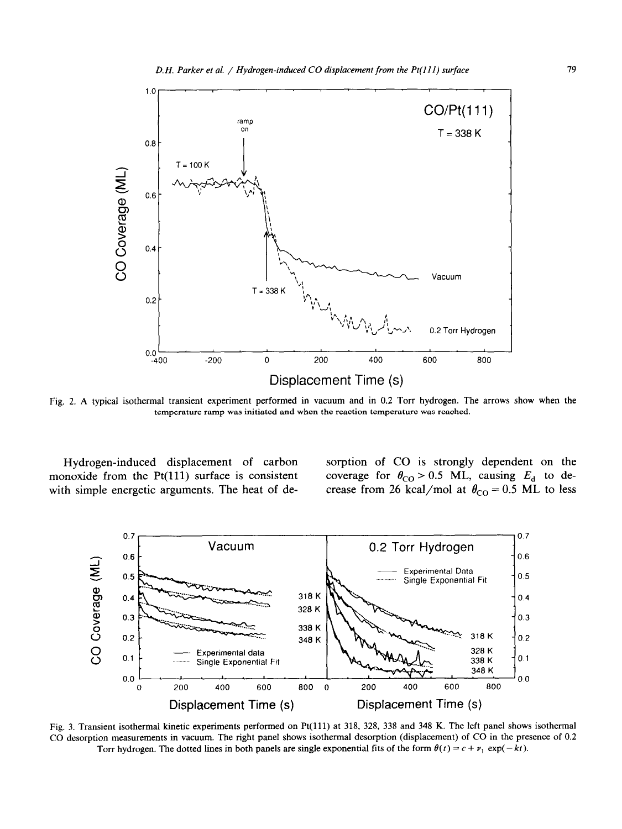

Fig. 2. A typical isothermal transient experiment performed in vacuum and in 0.2 Torr hydrogen. The arrows show when the temperature ramp was initiated and when the reaction temperature was reached.

Hydrogen-induced displacement of carbon monoxide from the  $Pt(111)$  surface is consistent with simple energetic arguments. The heat of desorption of CO is strongly dependent on the coverage for  $\theta_{\text{CO}} > 0.5$  ML, causing  $E_d$  to decrease from 26 kcal/mol at  $\theta_{\rm CO} = 0.5$  ML to less



Fig. 3. Transient isothermal kinetic experiments performed on Pt(lll) at 318, 328, 338 and 348 K. The left panel shows isothermal CO desorption measurements in vacuum. The right panel shows isothermal desorption (displacement) of CO in the presence of 0.2 Torr hydrogen. The dotted lines in both panels are single exponential fits of the form  $\theta(t) = c + \nu_1 \exp(-kt)$ .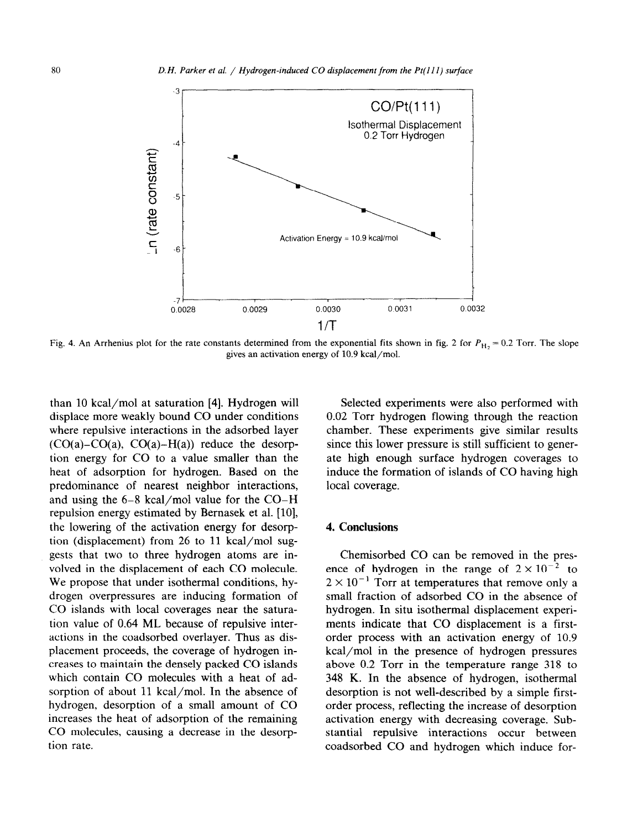

Fig. 4. An Arrhenius plot for the rate constants determined from the exponential fits shown in fig. 2 for  $P_{\text{H}_2} = 0.2$  Torr. The slope gives an activation energy of 10.9 kcal/mol.

than 10 kcal/mol at saturation [4]. Hydrogen will displace more weakly bound CO under conditions where repulsive interactions in the adsorbed layer  $(CO(a)-CO(a), CO(a)-H(a))$  reduce the desorption energy for CO to a value smaller than the heat of adsorption for hydrogen. Based on the predominance of nearest neighbor interactions, and using the 6-8 kcal/mol value for the CO-H repulsion energy estimated by Bernasek et al. [10], the lowering of the activation energy for desorption (displacement) from 26 to 11 kcal/mol suggests that two to three hydrogen atoms are involved in the displacement of each CO molecule. We propose that under isothermal conditions, hydrogen overpressures are inducing formation of CO islands with local coverages near the saturation value of 0.64 ML because of repulsive interactions in the coadsorbed overlayer. Thus as displacement proceeds, the coverage of hydrogen increases to maintain the densely packed CO islands which contain CO molecules with a heat of adsorption of about 11 kcal/mol. In the absence of hydrogen, desorption of a small amount of CO increases the heat of adsorption of the remaining CO molecules, causing a decrease in the desorption rate.

Selected experiments were also performed with 0.02 Torr hydrogen flowing through the reaction chamber. These experiments give similar results since this lower pressure is still sufficient to generate high enough surface hydrogen coverages to induce the formation of islands of CO having high local coverage.

#### 4. Conelusions

Chemisorbed CO can be removed in the presence of hydrogen in the range of  $2 \times 10^{-2}$  to  $2 \times 10^{-1}$  Torr at temperatures that remove only a small fraction of adsorbed CO in the absence of hydrogen. In situ isothermal displacement experiments indicate that CO displacement is a firstorder process with an activation energy of 10.9 kcal/mol in the presence of hydrogen pressures above 0.2 Torr in the temperature range 318 to 348 K. In the absence of hydrogen, isothermal desorption is not well-described by a simple firstorder process, reflecting the increase of desorption activation energy with decreasing coverage. Substantial repulsive interactions occur between coadsorbed CO and hydrogen which induce for-